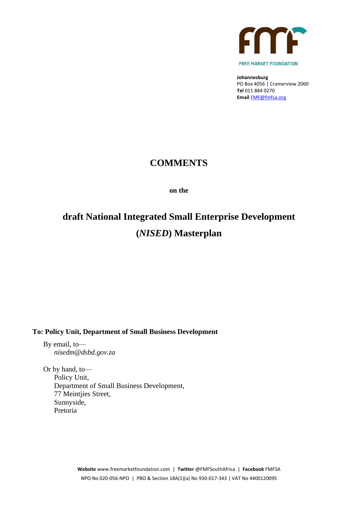

**Johannesburg** PO Box 4056 | Cramerview 2060 **Tel** 011 884 0270 **Email** [FMF@fmfsa.org](mailto:FMF@fmfsa.org)

# **COMMENTS**

**on the**

# **draft National Integrated Small Enterprise Development (***NISED***) Masterplan**

**To: Policy Unit, Department of Small Business Development**

By email, to *nisedm@dsbd.gov.za*

Or by hand, to— Policy Unit, Department of Small Business Development, 77 Meintjies Street, Sunnyside, Pretoria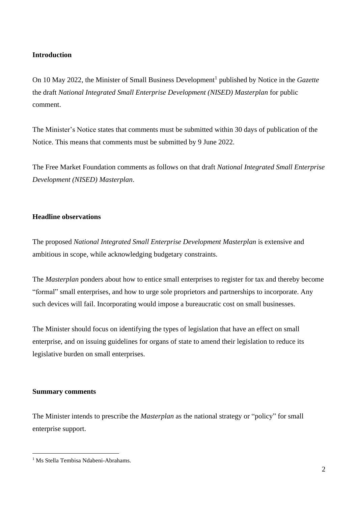# **Introduction**

On 10 May 2022, the Minister of Small Business Development<sup>1</sup> published by Notice in the *Gazette* the draft *National Integrated Small Enterprise Development (NISED) Masterplan* for public comment.

The Minister's Notice states that comments must be submitted within 30 days of publication of the Notice. This means that comments must be submitted by 9 June 2022.

The Free Market Foundation comments as follows on that draft *National Integrated Small Enterprise Development (NISED) Masterplan*.

### **Headline observations**

The proposed *National Integrated Small Enterprise Development Masterplan* is extensive and ambitious in scope, while acknowledging budgetary constraints.

The *Masterplan* ponders about how to entice small enterprises to register for tax and thereby become "formal" small enterprises, and how to urge sole proprietors and partnerships to incorporate. Any such devices will fail. Incorporating would impose a bureaucratic cost on small businesses.

The Minister should focus on identifying the types of legislation that have an effect on small enterprise, and on issuing guidelines for organs of state to amend their legislation to reduce its legislative burden on small enterprises.

### **Summary comments**

The Minister intends to prescribe the *Masterplan* as the national strategy or "policy" for small enterprise support.

<sup>&</sup>lt;sup>1</sup> Ms Stella Tembisa Ndabeni-Abrahams.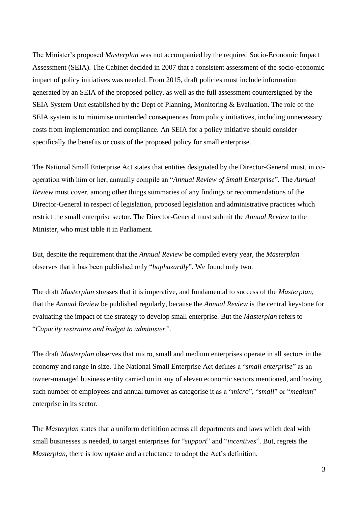The Minister's proposed *Masterplan* was not accompanied by the required Socio-Economic Impact Assessment (SEIA). The Cabinet decided in 2007 that a consistent assessment of the socio-economic impact of policy initiatives was needed. From 2015, draft policies must include information generated by an SEIA of the proposed policy, as well as the full assessment countersigned by the SEIA System Unit established by the Dept of Planning, Monitoring & Evaluation. The role of the SEIA system is to minimise unintended consequences from policy initiatives, including unnecessary costs from implementation and compliance. An SEIA for a policy initiative should consider specifically the benefits or costs of the proposed policy for small enterprise.

The National Small Enterprise Act states that entities designated by the Director-General must, in cooperation with him or her, annually compile an "*Annual Review of Small Enterprise*". The *Annual Review* must cover, among other things summaries of any findings or recommendations of the Director-General in respect of legislation, proposed legislation and administrative practices which restrict the small enterprise sector. The Director-General must submit the *Annual Review* to the Minister, who must table it in Parliament.

But, despite the requirement that the *Annual Review* be compiled every year, the *Masterplan* observes that it has been published only "*haphazardly*". We found only two.

The draft *Masterplan* stresses that it is imperative, and fundamental to success of the *Masterplan*, that the *Annual Review* be published regularly, because the *Annual Review* is the central keystone for evaluating the impact of the strategy to develop small enterprise. But the *Masterplan* refers to "*Capacity restraints and budget to administer"*.

The draft *Masterplan* observes that micro, small and medium enterprises operate in all sectors in the economy and range in size. The National Small Enterprise Act defines a "*small enterprise*" as an owner-managed business entity carried on in any of eleven economic sectors mentioned, and having such number of employees and annual turnover as categorise it as a "*micro*", "*small*" or "*medium*" enterprise in its sector.

The *Masterplan* states that a uniform definition across all departments and laws which deal with small businesses is needed, to target enterprises for "*support*" and "*incentives*". But, regrets the *Masterplan*, there is low uptake and a reluctance to adopt the Act's definition.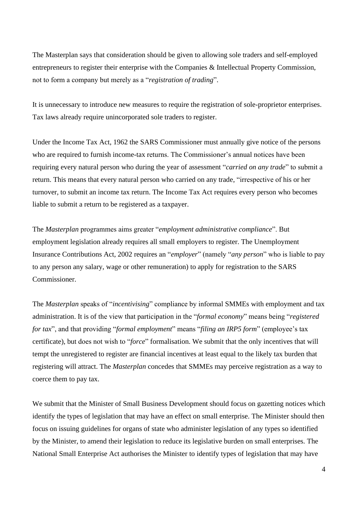The Masterplan says that consideration should be given to allowing sole traders and self-employed entrepreneurs to register their enterprise with the Companies & Intellectual Property Commission, not to form a company but merely as a "*registration of trading*".

It is unnecessary to introduce new measures to require the registration of sole-proprietor enterprises. Tax laws already require unincorporated sole traders to register.

Under the Income Tax Act, 1962 the SARS Commissioner must annually give notice of the persons who are required to furnish income-tax returns. The Commissioner's annual notices have been requiring every natural person who during the year of assessment "*carried on any trade*" to submit a return. This means that every natural person who carried on any trade, "irrespective of his or her turnover, to submit an income tax return. The Income Tax Act requires every person who becomes liable to submit a return to be registered as a taxpayer.

The *Masterplan* programmes aims greater "*employment administrative compliance*". But employment legislation already requires all small employers to register. The Unemployment Insurance Contributions Act, 2002 requires an "*employer*" (namely "*any person*" who is liable to pay to any person any salary, wage or other remuneration) to apply for registration to the SARS Commissioner.

The *Masterplan* speaks of "*incentivising*" compliance by informal SMMEs with employment and tax administration. It is of the view that participation in the "*formal economy*" means being "*registered for tax*", and that providing "*formal employment*" means "*filing an IRP5 form*" (employee's tax certificate), but does not wish to "*force*" formalisation. We submit that the only incentives that will tempt the unregistered to register are financial incentives at least equal to the likely tax burden that registering will attract. The *Masterplan* concedes that SMMEs may perceive registration as a way to coerce them to pay tax.

We submit that the Minister of Small Business Development should focus on gazetting notices which identify the types of legislation that may have an effect on small enterprise. The Minister should then focus on issuing guidelines for organs of state who administer legislation of any types so identified by the Minister, to amend their legislation to reduce its legislative burden on small enterprises. The National Small Enterprise Act authorises the Minister to identify types of legislation that may have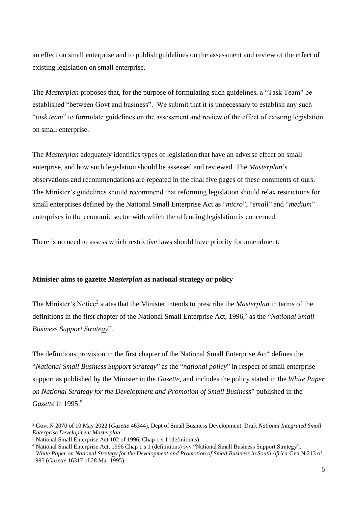an effect on small enterprise and to publish guidelines on the assessment and review of the effect of existing legislation on small enterprise.

The *Masterplan* proposes that, for the purpose of formulating such guidelines, a "Task Team" be established "between Govt and business". We submit that it is unnecessary to establish any such "*task team*" to formulate guidelines on the assessment and review of the effect of existing legislation on small enterprise.

The *Masterplan* adequately identifies types of legislation that have an adverse effect on small enterprise, and how such legislation should be assessed and reviewed. The *Masterplan*'s observations and recommendations are repeated in the final five pages of these comments of ours. The Minister's guidelines should recommend that reforming legislation should relax restrictions for small enterprises defined by the National Small Enterprise Act as "*micro*", "*small*" and "*medium*" enterprises in the economic sector with which the offending legislation is concerned.

There is no need to assess which restrictive laws should have priority for amendment.

### **Minister aims to gazette** *Masterplan* **as national strategy or policy**

The Minister's Notice<sup>2</sup> states that the Minister intends to prescribe the *Masterplan* in terms of the definitions in the first chapter of the National Small Enterprise Act, 1996, 3 as the "*National Small Business Support Strategy*".

The definitions provision in the first chapter of the National Small Enterprise Act<sup>4</sup> defines the "*National Small Business Support Strategy*" as the "*national policy*" in respect of small enterprise support as published by the Minister in the *Gazette*, and includes the policy stated in the *White Paper on National Strategy for the Development and Promotion of Small Business*" published in the *Gazette* in 1995. 5

<sup>2</sup> Govt N 2070 of 10 May 2022 (*Gazette* 46344), Dept of Small Business Development. Draft *National Integrated Small Enterprise Development Masterplan*.

<sup>3</sup> National Small Enterprise Act 102 of 1996, Chap 1 s 1 (definitions).

<sup>4</sup> National Small Enterprise Act, 1996 Chap 1 s 1 (definitions) svv "National Small Business Support Strategy".

<sup>5</sup> *White Paper on National Strategy for the Development and Promotion of Small Business in South Africa* Gen N 213 of 1995 (*Gazette* 16317 of 28 Mar 1995).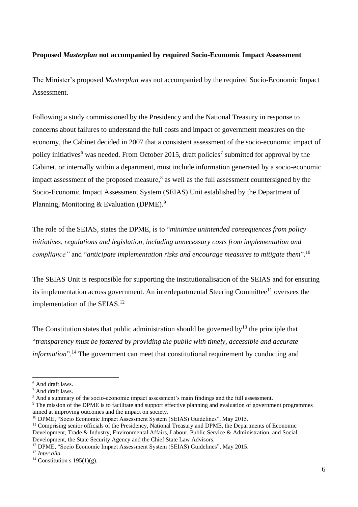# **Proposed** *Masterplan* **not accompanied by required Socio-Economic Impact Assessment**

The Minister's proposed *Masterplan* was not accompanied by the required Socio-Economic Impact Assessment.

Following a study commissioned by the Presidency and the National Treasury in response to concerns about failures to understand the full costs and impact of government measures on the economy, the Cabinet decided in 2007 that a consistent assessment of the socio-economic impact of policy initiatives<sup>6</sup> was needed. From October 2015, draft policies<sup>7</sup> submitted for approval by the Cabinet, or internally within a department, must include information generated by a socio-economic impact assessment of the proposed measure, $8$  as well as the full assessment countersigned by the Socio-Economic Impact Assessment System (SEIAS) Unit established by the Department of Planning, Monitoring & Evaluation (DPME).<sup>9</sup>

The role of the SEIAS, states the DPME, is to "*minimise unintended consequences from policy initiatives, regulations and legislation, including unnecessary costs from implementation and compliance"* and "*anticipate implementation risks and encourage measures to mitigate them*". 10

The SEIAS Unit is responsible for supporting the institutionalisation of the SEIAS and for ensuring its implementation across government. An interdepartmental Steering Committee<sup>11</sup> oversees the implementation of the SEIAS.<sup>12</sup>

The Constitution states that public administration should be governed by<sup>13</sup> the principle that "*transparency must be fostered by providing the public with timely, accessible and accurate information*".<sup>14</sup> The government can meet that constitutional requirement by conducting and

<sup>6</sup> And draft laws.

<sup>7</sup> And draft laws.

<sup>&</sup>lt;sup>8</sup> And a summary of the socio-economic impact assessment's main findings and the full assessment.

<sup>&</sup>lt;sup>9</sup> The mission of the DPME is to facilitate and support effective planning and evaluation of government programmes aimed at improving outcomes and the impact on society.

<sup>&</sup>lt;sup>10</sup> DPME, "Socio Economic Impact Assessment System (SEIAS) Guidelines", May 2015.

<sup>&</sup>lt;sup>11</sup> Comprising senior officials of the Presidency, National Treasury and DPME, the Departments of Economic Development, Trade & Industry, Environmental Affairs, Labour, Public Service & Administration, and Social Development, the State Security Agency and the Chief State Law Advisors.

<sup>12</sup> DPME, "Socio Economic Impact Assessment System (SEIAS) Guidelines", May 2015.

<sup>13</sup> *Inter alia*.

<sup>&</sup>lt;sup>14</sup> Constitution s 195(1)(g).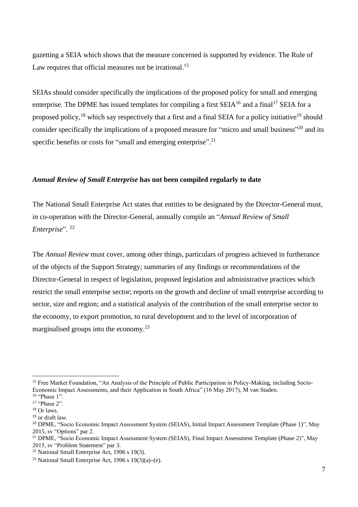gazetting a SEIA which shows that the measure concerned is supported by evidence. The Rule of Law requires that official measures not be irrational.<sup>15</sup>

SEIAs should consider specifically the implications of the proposed policy for small and emerging enterprise. The DPME has issued templates for compiling a first  $SEIA<sup>16</sup>$  and a final<sup>17</sup> SEIA for a proposed policy,<sup>18</sup> which say respectively that a first and a final SEIA for a policy initiative<sup>19</sup> should consider specifically the implications of a proposed measure for "micro and small business"<sup>20</sup> and its specific benefits or costs for "small and emerging enterprise".<sup>21</sup>

# *Annual Review of Small Enterprise* **has not been compiled regularly to date**

The National Small Enterprise Act states that entities to be designated by the Director-General must, in co-operation with the Director-General, annually compile an "*Annual Review of Small Enterprise*". 22

The *Annual Review* must cover, among other things, particulars of progress achieved in furtherance of the objects of the Support Strategy; summaries of any findings or recommendations of the Director-General in respect of legislation, proposed legislation and administrative practices which restrict the small enterprise sector; reports on the growth and decline of small enterprise according to sector, size and region; and a statistical analysis of the contribution of the small enterprise sector to the economy, to export promotion, to rural development and to the level of incorporation of marginalised groups into the economy.<sup>23</sup>

<sup>&</sup>lt;sup>15</sup> Free Market Foundation, "An Analysis of the Principle of Public Participation in Policy-Making, including Socio-Economic Impact Assessments, and their Application in South Africa" (16 May 2017), M van Staden.

<sup>&</sup>lt;sup>16</sup> "Phase 1".

<sup>&</sup>lt;sup>17</sup> "Phase 2".

<sup>18</sup> Or laws. <sup>19</sup> or draft law.

<sup>&</sup>lt;sup>20</sup> DPME, "Socio Economic Impact Assessment System (SEIAS), Initial Impact Assessment Template (Phase 1)", May 2015, sv "Options" par 2.

<sup>&</sup>lt;sup>21</sup> DPME, "Socio Economic Impact Assessment System (SEIAS), Final Impact Assessment Template (Phase 2)", May 2015, sv "Problem Statement" par 3.

 $22$  National Small Enterprise Act, 1996 s 19(3).

<sup>&</sup>lt;sup>23</sup> National Small Enterprise Act, 1996 s  $19(3)(a)$ –(e).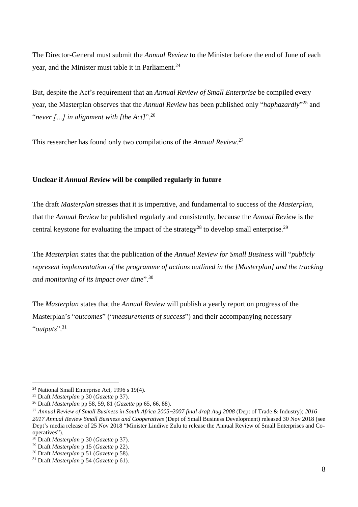The Director-General must submit the *Annual Review* to the Minister before the end of June of each year, and the Minister must table it in Parliament.<sup>24</sup>

But, despite the Act's requirement that an *Annual Review of Small Enterprise* be compiled every year, the Masterplan observes that the *Annual Review* has been published only "*haphazardly*" <sup>25</sup> and "*never […] in alignment with [the Act]*". 26

This researcher has found only two compilations of the *Annual Review*. 27

# **Unclear if** *Annual Review* **will be compiled regularly in future**

The draft *Masterplan* stresses that it is imperative, and fundamental to success of the *Masterplan*, that the *Annual Review* be published regularly and consistently, because the *Annual Review* is the central keystone for evaluating the impact of the strategy<sup>28</sup> to develop small enterprise.<sup>29</sup>

The *Masterplan* states that the publication of the *Annual Review for Small Business* will "*publicly represent implementation of the programme of actions outlined in the [Masterplan] and the tracking and monitoring of its impact over time*".<sup>30</sup>

The *Masterplan* states that the *Annual Review* will publish a yearly report on progress of the Masterplan's "*outcomes*" ("*measurements of success*") and their accompanying necessary "*outputs*". 31

<sup>24</sup> National Small Enterprise Act, 1996 s 19(4).

<sup>25</sup> Draft *Masterplan* p 30 (*Gazette* p 37).

<sup>26</sup> Draft *Masterplan* pp 58, 59, 81 (*Gazette* pp 65, 66, 88).

<sup>27</sup> *Annual Review of Small Business in South Africa 2005*–*2007 final draft Aug 2008* (Dept of Trade & Industry); *2016– 2017 Annual Review Small Business and Cooperatives* (Dept of Small Business Development) released 30 Nov 2018 (see Dept's media release of 25 Nov 2018 "Minister Lindiwe Zulu to release the Annual Review of Small Enterprises and Cooperatives").

<sup>28</sup> Draft *Masterplan* p 30 (*Gazette* p 37).

<sup>29</sup> Draft *Masterplan* p 15 (*Gazette* p 22).

<sup>30</sup> Draft *Masterplan* p 51 (*Gazette* p 58).

<sup>31</sup> Draft *Masterplan* p 54 (*Gazette* p 61).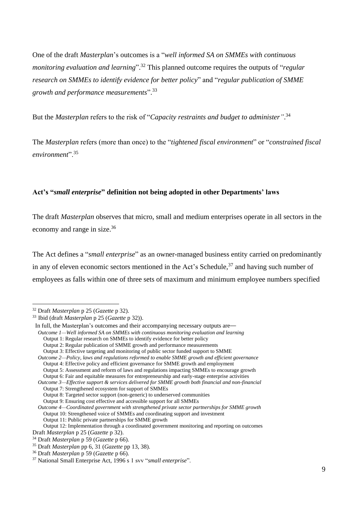One of the draft *Masterplan*'s outcomes is a "*well informed SA on SMMEs with continuous monitoring evaluation and learning*". <sup>32</sup> This planned outcome requires the outputs of "*regular research on SMMEs to identify evidence for better policy*" and "*regular publication of SMME growth and performance measurements*". 33

But the *Masterplan* refers to the risk of "*Capacity restraints and budget to administer"*. 34

The *Masterplan* refers (more than once) to the "*tightened fiscal environment*" or "*constrained fiscal environment*".<sup>35</sup>

# **Act's "***small enterprise***" definition not being adopted in other Departments' laws**

The draft *Masterplan* observes that micro, small and medium enterprises operate in all sectors in the economy and range in size.<sup>36</sup>

The Act defines a "*small enterprise*" as an owner-managed business entity carried on predominantly in any of eleven economic sectors mentioned in the Act's Schedule,<sup>37</sup> and having such number of employees as falls within one of three sets of maximum and minimum employee numbers specified

*Outcome 2—Policy, laws and regulations reformed to enable SMME growth and efficient governance*  Output 4: Effective policy and efficient governance for SMME growth and employment Output 5: Assessment and reform of laws and regulations impacting SMMEs to encourage growth Output 6: Fair and equitable measures for entrepreneurship and early-stage enterprise activities

<sup>32</sup> Draft *Masterplan* p 25 (*Gazette* p 32).

<sup>33</sup> Ibid (draft *Masterplan* p 25 (*Gazette* p 32)).

In full, the Masterplan's outcomes and their accompanying necessary outputs are—

*Outcome 1—Well informed SA on SMMEs with continuous monitoring evaluation and learning* 

Output 1: Regular research on SMMEs to identify evidence for better policy

Output 2: Regular publication of SMME growth and performance measurements

Output 3: Effective targeting and monitoring of public sector funded support to SMME

*Outcome 3—Effective support & services delivered for SMME growth both financial and non-financial* Output 7: Strengthened ecosystem for support of SMMEs

Output 8: Targeted sector support (non-generic) to underserved communities

Output 9: Ensuring cost effective and accessible support for all SMMEs

*Outcome 4—Coordinated government with strengthened private sector partnerships for SMME growth* Output 10: Strengthened voice of SMMEs and coordinating support and investment

Output 11: Public private partnerships for SMME growth

Output 12: Implementation through a coordinated government monitoring and reporting on outcomes Draft *Masterplan* p 25 (*Gazette* p 32).

<sup>34</sup> Draft *Masterplan* p 59 (*Gazette* p 66).

<sup>35</sup> Draft *Masterplan* pp 6, 31 (*Gazette* pp 13, 38).

<sup>36</sup> Draft *Masterplan* p 59 (*Gazette* p 66).

<sup>37</sup> National Small Enterprise Act, 1996 s 1 svv "*small enterprise*".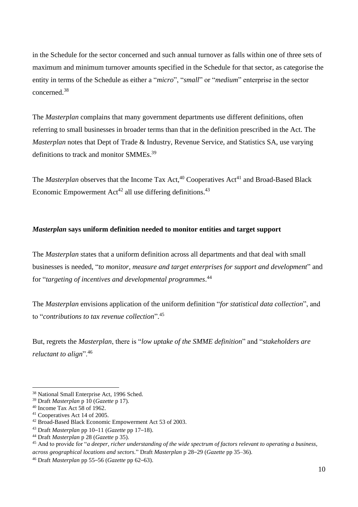in the Schedule for the sector concerned and such annual turnover as falls within one of three sets of maximum and minimum turnover amounts specified in the Schedule for that sector, as categorise the entity in terms of the Schedule as either a "*micro*", "*small*" or "*medium*" enterprise in the sector concerned. 38

The *Masterplan* complains that many government departments use different definitions, often referring to small businesses in broader terms than that in the definition prescribed in the Act. The *Masterplan* notes that Dept of Trade & Industry, Revenue Service, and Statistics SA, use varying definitions to track and monitor SMMEs.<sup>39</sup>

The *Masterplan* observes that the Income Tax Act,<sup>40</sup> Cooperatives Act<sup>41</sup> and Broad-Based Black Economic Empowerment  $Act^{42}$  all use differing definitions.<sup>43</sup>

# *Masterplan* **says uniform definition needed to monitor entities and target support**

The *Masterplan* states that a uniform definition across all departments and that deal with small businesses is needed, "*to monitor, measure and target enterprises for support and development*" and for "*targeting of incentives and developmental programmes*. 44

The *Masterplan* envisions application of the uniform definition "*for statistical data collection*", and to "*contributions to tax revenue collection*". 45

But, regrets the *Masterplan*, there is "*low uptake of the SMME definition*" and "*stakeholders are reluctant to align*".<sup>46</sup>

<sup>38</sup> National Small Enterprise Act, 1996 Sched.

<sup>39</sup> Draft *Masterplan* p 10 (*Gazette* p 17).

<sup>40</sup> Income Tax Act 58 of 1962.

<sup>41</sup> Cooperatives Act 14 of 2005.

<sup>42</sup> Broad-Based Black Economic Empowerment Act 53 of 2003.

<sup>43</sup> Draft *Masterplan* pp 10–11 (*Gazette* pp 17–18).

<sup>44</sup> Draft *Masterplan* p 28 (*Gazette* p 35).

<sup>45</sup> And to provide for "*a deeper, richer understanding of the wide spectrum of factors relevant to operating a business, across geographical locations and sectors.*" Draft *Masterplan* p 28–29 (*Gazette* pp 35–36).

<sup>46</sup> Draft *Masterplan* pp 55–56 (*Gazette* pp 62–63).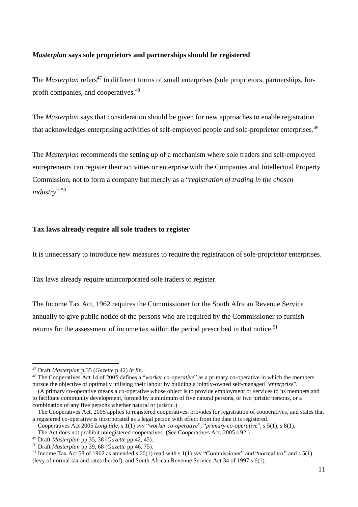#### *Masterplan* **says sole proprietors and partnerships should be registered**

The *Masterplan* refers<sup>47</sup> to different forms of small enterprises (sole proprietors, partnerships, forprofit companies, and cooperatives. 48

The *Masterplan* says that consideration should be given for new approaches to enable registration that acknowledges enterprising activities of self-employed people and sole-proprietor enterprises.<sup>49</sup>

The *Masterplan* recommends the setting up of a mechanism where sole traders and self-employed entrepreneurs can register their activities or enterprise with the Companies and Intellectual Property Commission, not to form a company but merely as a "*registration of trading in the chosen industry*".<sup>50</sup>

#### **Tax laws already require all sole traders to register**

It is unnecessary to introduce new measures to require the registration of sole-proprietor enterprises.

Tax laws already require unincorporated sole traders to register.

The Income Tax Act, 1962 requires the Commissioner for the South African Revenue Service annually to give public notice of the persons who are required by the Commissioner to furnish returns for the assessment of income tax within the period prescribed in that notice.<sup>51</sup>

<sup>47</sup> Draft *Masterplan* p 35 (*Gazette* p 42) *in fin*.

<sup>48</sup> The Cooperatives Act 14 of 2005 defines a "*worker co-operative*" as a primary co-operative in which the members pursue the objective of optimally utilising their labour by building a jointly-owned self-managed "*enterprise*".

<sup>(</sup>A primary co-operative means a co-operative whose object is to provide employment or services to its members and to facilitate community development, formed by a minimum of five natural persons, or two juristic persons, or a combination of any five persons whether natural or juristic.)

The Cooperatives Act, 2005 applies to registered cooperatives, provides for registration of cooperatives, and states that a registered co-operative is incorporated as a legal person with effect from the date it is registered.

Cooperatives Act 2005 *Long title*, s 1(1) svv "*worker co-operative*", "*primary co-operative*", s 5(1), s 8(1).

The Act does not prohibit unregistered cooperatives. (See Cooperatives Act, 2005 s 92.)

<sup>49</sup> Draft *Masterplan* pp 35, 38 (*Gazette* pp 42, 45).

<sup>50</sup> Draft *Masterplan* pp 39, 68 (*Gazette* pp 46, 75).

 $51$  Income Tax Act 58 of 1962 as amended s 66(1) read with s 1(1) svv "Commissioner" and "normal tax" and s 5(1) (levy of normal tax and rates thereof), and South African Revenue Service Act 34 of 1997 s 6(1).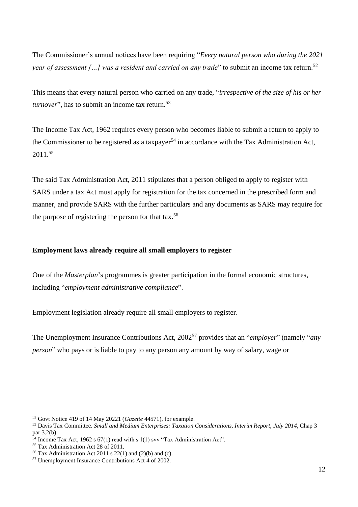The Commissioner's annual notices have been requiring "*Every natural person who during the 2021 year of assessment* [...] was a resident and carried on any trade" to submit an income tax return.<sup>52</sup>

This means that every natural person who carried on any trade, "*irrespective of the size of his or her turnover*", has to submit an income tax return. 53

The Income Tax Act, 1962 requires every person who becomes liable to submit a return to apply to the Commissioner to be registered as a taxpayer<sup>54</sup> in accordance with the Tax Administration Act, 2011. 55

The said Tax Administration Act, 2011 stipulates that a person obliged to apply to register with SARS under a tax Act must apply for registration for the tax concerned in the prescribed form and manner, and provide SARS with the further particulars and any documents as SARS may require for the purpose of registering the person for that tax.<sup>56</sup>

# **Employment laws already require all small employers to register**

One of the *Masterplan*'s programmes is greater participation in the formal economic structures, including "*employment administrative compliance*".

Employment legislation already require all small employers to register.

The Unemployment Insurance Contributions Act, 2002<sup>57</sup> provides that an "*employer*" (namely "*any person*" who pays or is liable to pay to any person any amount by way of salary, wage or

<sup>52</sup> Govt Notice 419 of 14 May 20221 (*Gazette* 44571), for example.

<sup>53</sup> Davis Tax Committee. *Small and Medium Enterprises: Taxation Considerations, Interim Report, July 2014*, Chap 3 par 3.2(b).

<sup>54</sup> Income Tax Act, 1962 s 67(1) read with s 1(1) svv "Tax Administration Act".

<sup>55</sup> Tax Administration Act 28 of 2011.

<sup>&</sup>lt;sup>56</sup> Tax Administration Act 2011 s 22(1) and (2)(b) and (c).

<sup>57</sup> Unemployment Insurance Contributions Act 4 of 2002.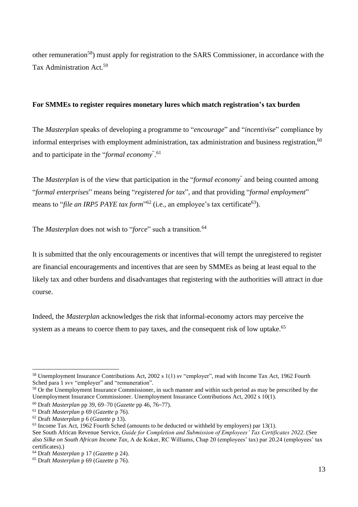other remuneration<sup>58</sup>) must apply for registration to the SARS Commissioner, in accordance with the Tax Administration Act.<sup>59</sup>

### **For SMMEs to register requires monetary lures which match registration's tax burden**

The *Masterplan* speaks of developing a programme to "*encourage*" and "*incentivise*" compliance by informal enterprises with employment administration, tax administration and business registration,<sup>60</sup> and to participate in the "*formal economy*" . 61

The *Masterplan* is of the view that participation in the "*formal economy*" and being counted among "*formal enterprises*" means being "*registered for tax*", and that providing "*formal employment*" means to "*file an IRP5 PAYE tax form*"<sup>62</sup> (i.e., an employee's tax certificate<sup>63</sup>).

The *Masterplan* does not wish to "*force*" such a transition.<sup>64</sup>

It is submitted that the only encouragements or incentives that will tempt the unregistered to register are financial encouragements and incentives that are seen by SMMEs as being at least equal to the likely tax and other burdens and disadvantages that registering with the authorities will attract in due course.

Indeed, the *Masterplan* acknowledges the risk that informal-economy actors may perceive the system as a means to coerce them to pay taxes, and the consequent risk of low uptake.<sup>65</sup>

<sup>58</sup> Unemployment Insurance Contributions Act, 2002 s 1(1) sv "employer", read with Income Tax Act, 1962 Fourth Sched para 1 svv "employer" and "remuneration".

<sup>&</sup>lt;sup>59</sup> Or the Unemployment Insurance Commissioner, in such manner and within such period as may be prescribed by the Unemployment Insurance Commissioner. Unemployment Insurance Contributions Act, 2002 s 10(1).

<sup>60</sup> Draft *Masterplan* pp 39, 69–70 (*Gazette* pp 46, 76–77).

<sup>61</sup> Draft *Masterplan* p 69 (*Gazette* p 76).

<sup>62</sup> Draft *Masterplan* p 6 (*Gazette* p 13).

 $63$  Income Tax Act, 1962 Fourth Sched (amounts to be deducted or withheld by employers) par 13(1).

See South African Revenue Service, *Guide for Completion and Submission of Employees' Tax Certificates 2022*. (See also *Silke on South African Income Tax*, A de Koker, RC Williams, Chap 20 (employees' tax) par 20.24 (employees' tax certificates).)

<sup>64</sup> Draft *Masterplan* p 17 (*Gazette* p 24).

<sup>65</sup> Draft *Masterplan* p 69 (*Gazette* p 76).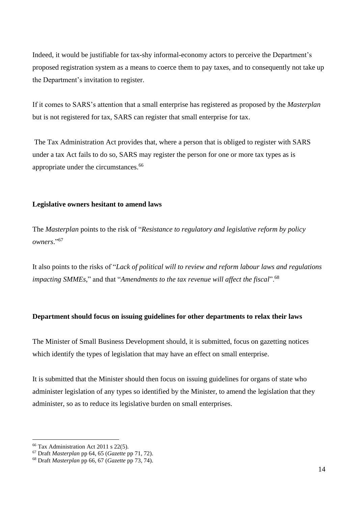Indeed, it would be justifiable for tax-shy informal-economy actors to perceive the Department's proposed registration system as a means to coerce them to pay taxes, and to consequently not take up the Department's invitation to register.

If it comes to SARS's attention that a small enterprise has registered as proposed by the *Masterplan* but is not registered for tax, SARS can register that small enterprise for tax.

The Tax Administration Act provides that, where a person that is obliged to register with SARS under a tax Act fails to do so, SARS may register the person for one or more tax types as is appropriate under the circumstances. 66

#### **Legislative owners hesitant to amend laws**

The *Masterplan* points to the risk of "*Resistance to regulatory and legislative reform by policy owners*." 67

It also points to the risks of "*Lack of political will to review and reform labour laws and regulations impacting SMMEs*," and that "*Amendments to the tax revenue will affect the fiscal*".<sup>68</sup>

### **Department should focus on issuing guidelines for other departments to relax their laws**

The Minister of Small Business Development should, it is submitted, focus on gazetting notices which identify the types of legislation that may have an effect on small enterprise.

It is submitted that the Minister should then focus on issuing guidelines for organs of state who administer legislation of any types so identified by the Minister, to amend the legislation that they administer, so as to reduce its legislative burden on small enterprises.

<sup>66</sup> Tax Administration Act 2011 s 22(5).

<sup>67</sup> Draft *Masterplan* pp 64, 65 (*Gazette* pp 71, 72).

<sup>68</sup> Draft *Masterplan* pp 66, 67 (*Gazette* pp 73, 74).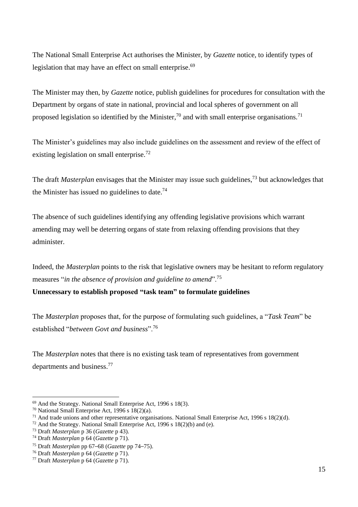The National Small Enterprise Act authorises the Minister, by *Gazette* notice, to identify types of legislation that may have an effect on small enterprise.<sup>69</sup>

The Minister may then, by *Gazette* notice, publish guidelines for procedures for consultation with the Department by organs of state in national, provincial and local spheres of government on all proposed legislation so identified by the Minister,<sup>70</sup> and with small enterprise organisations.<sup>71</sup>

The Minister's guidelines may also include guidelines on the assessment and review of the effect of existing legislation on small enterprise.<sup>72</sup>

The draft *Masterplan* envisages that the Minister may issue such guidelines,<sup>73</sup> but acknowledges that the Minister has issued no guidelines to date. $74$ 

The absence of such guidelines identifying any offending legislative provisions which warrant amending may well be deterring organs of state from relaxing offending provisions that they administer.

Indeed, the *Masterplan* points to the risk that legislative owners may be hesitant to reform regulatory measures "*in the absence of provision and guideline to amend*".<sup>75</sup>

**Unnecessary to establish proposed "task team" to formulate guidelines** 

The *Masterplan* proposes that, for the purpose of formulating such guidelines, a "*Task Team*" be established "*between Govt and business*".<sup>76</sup>

The *Masterplan* notes that there is no existing task team of representatives from government departments and business.<sup>77</sup>

<sup>69</sup> And the Strategy. National Small Enterprise Act, 1996 s 18(3).

<sup>&</sup>lt;sup>70</sup> National Small Enterprise Act, 1996 s  $18(2)(a)$ .

 $71$  And trade unions and other representative organisations. National Small Enterprise Act, 1996 s 18(2)(d).

 $72$  And the Strategy. National Small Enterprise Act, 1996 s 18(2)(b) and (e).

<sup>73</sup> Draft *Masterplan* p 36 (*Gazette* p 43).

<sup>74</sup> Draft *Masterplan* p 64 (*Gazette* p 71).

<sup>75</sup> Draft *Masterplan* pp 67–68 (*Gazette* pp 74–75).

<sup>76</sup> Draft *Masterplan* p 64 (*Gazette* p 71).

<sup>77</sup> Draft *Masterplan* p 64 (*Gazette* p 71).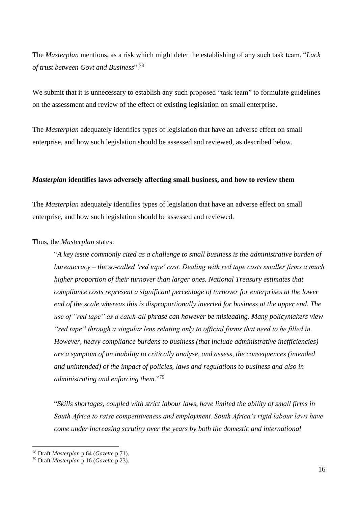The *Masterplan* mentions, as a risk which might deter the establishing of any such task team, "*Lack of trust between Govt and Business*".<sup>78</sup>

We submit that it is unnecessary to establish any such proposed "task team" to formulate guidelines on the assessment and review of the effect of existing legislation on small enterprise.

The *Masterplan* adequately identifies types of legislation that have an adverse effect on small enterprise, and how such legislation should be assessed and reviewed, as described below.

#### *Masterplan* **identifies laws adversely affecting small business, and how to review them**

The *Masterplan* adequately identifies types of legislation that have an adverse effect on small enterprise, and how such legislation should be assessed and reviewed.

Thus, the *Masterplan* states:

"*A key issue commonly cited as a challenge to small business is the administrative burden of bureaucracy – the so-called 'red tape' cost. Dealing with red tape costs smaller firms a much higher proportion of their turnover than larger ones. National Treasury estimates that compliance costs represent a significant percentage of turnover for enterprises at the lower end of the scale whereas this is disproportionally inverted for business at the upper end. The use of "red tape" as a catch-all phrase can however be misleading. Many policymakers view "red tape" through a singular lens relating only to official forms that need to be filled in. However, heavy compliance burdens to business (that include administrative inefficiencies) are a symptom of an inability to critically analyse, and assess, the consequences (intended and unintended) of the impact of policies, laws and regulations to business and also in administrating and enforcing them.*" 79

"*Skills shortages, coupled with strict labour laws, have limited the ability of small firms in South Africa to raise competitiveness and employment. South Africa's rigid labour laws have come under increasing scrutiny over the years by both the domestic and international* 

<sup>78</sup> Draft *Masterplan* p 64 (*Gazette* p 71).

<sup>79</sup> Draft *Masterplan* p 16 (*Gazette* p 23).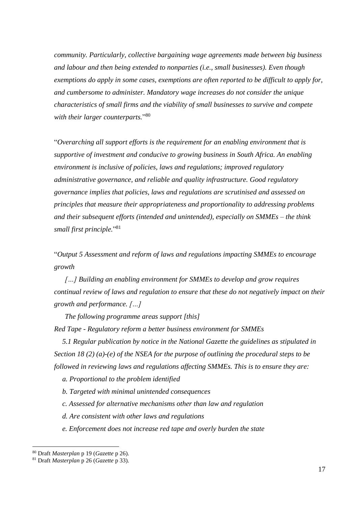*community. Particularly, collective bargaining wage agreements made between big business and labour and then being extended to nonparties (i.e., small businesses). Even though exemptions do apply in some cases, exemptions are often reported to be difficult to apply for, and cumbersome to administer. Mandatory wage increases do not consider the unique characteristics of small firms and the viability of small businesses to survive and compete with their larger counterparts.*" 80

"*Overarching all support efforts is the requirement for an enabling environment that is supportive of investment and conducive to growing business in South Africa. An enabling environment is inclusive of policies, laws and regulations; improved regulatory administrative governance, and reliable and quality infrastructure. Good regulatory governance implies that policies, laws and regulations are scrutinised and assessed on principles that measure their appropriateness and proportionality to addressing problems and their subsequent efforts (intended and unintended), especially on SMMEs – the think small first principle.*" 81

"*Output 5 Assessment and reform of laws and regulations impacting SMMEs to encourage growth*

*[…] Building an enabling environment for SMMEs to develop and grow requires continual review of laws and regulation to ensure that these do not negatively impact on their growth and performance. […]*

*The following programme areas support [this] Red Tape - Regulatory reform a better business environment for SMMEs* 

*5.1 Regular publication by notice in the National Gazette the guidelines as stipulated in Section 18 (2) (a)-(e) of the NSEA for the purpose of outlining the procedural steps to be followed in reviewing laws and regulations affecting SMMEs. This is to ensure they are:* 

*a. Proportional to the problem identified* 

*b. Targeted with minimal unintended consequences* 

*c. Assessed for alternative mechanisms other than law and regulation* 

*d. Are consistent with other laws and regulations* 

*e. Enforcement does not increase red tape and overly burden the state* 

<sup>80</sup> Draft *Masterplan* p 19 (*Gazette* p 26).

<sup>81</sup> Draft *Masterplan* p 26 (*Gazette* p 33).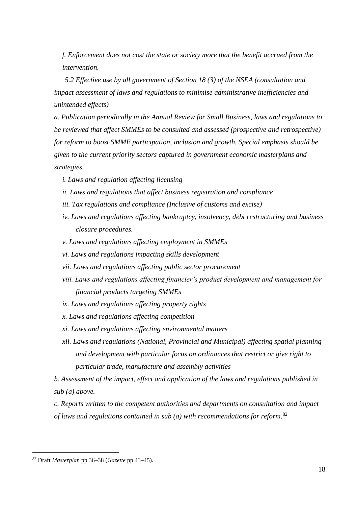*f. Enforcement does not cost the state or society more that the benefit accrued from the intervention.*

*5.2 Effective use by all government of Section 18 (3) of the NSEA (consultation and impact assessment of laws and regulations to minimise administrative inefficiencies and unintended effects)* 

*a. Publication periodically in the Annual Review for Small Business, laws and regulations to be reviewed that affect SMMEs to be consulted and assessed (prospective and retrospective) for reform to boost SMME participation, inclusion and growth. Special emphasis should be given to the current priority sectors captured in government economic masterplans and strategies.* 

- *i. Laws and regulation affecting licensing*
- *ii. Laws and regulations that affect business registration and compliance*
- *iii. Tax regulations and compliance (Inclusive of customs and excise)*
- *iv. Laws and regulations affecting bankruptcy, insolvency, debt restructuring and business closure procedures.*
- *v. Laws and regulations affecting employment in SMMEs*
- *vi. Laws and regulations impacting skills development*
- *vii. Laws and regulations affecting public sector procurement*
- *viii. Laws and regulations affecting financier's product development and management for financial products targeting SMMEs*
- *ix. Laws and regulations affecting property rights*
- *x. Laws and regulations affecting competition*
- *xi. Laws and regulations affecting environmental matters*
- *xii. Laws and regulations (National, Provincial and Municipal) affecting spatial planning and development with particular focus on ordinances that restrict or give right to particular trade, manufacture and assembly activities*

*b. Assessment of the impact, effect and application of the laws and regulations published in sub (a) above.* 

*c. Reports written to the competent authorities and departments on consultation and impact of laws and regulations contained in sub (a) with recommendations for reform*. 82

<sup>82</sup> Draft *Masterplan* pp 36–38 (*Gazette* pp 43–45).